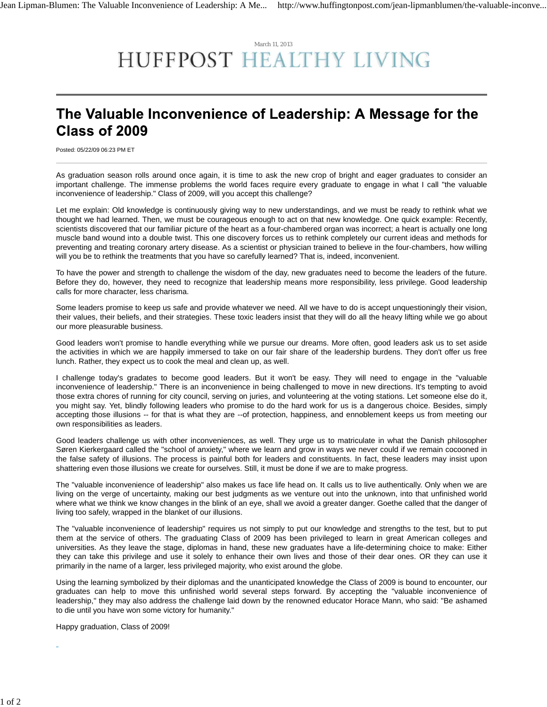## March 11, 2013 HUFFPOST HEALTHY LIVING

## The Valuable Inconvenience of Leadership: A Message for the Class of 2009

Posted: 05/22/09 06:23 PM ET

As graduation season rolls around once again, it is time to ask the new crop of bright and eager graduates to consider an important challenge. The immense problems the world faces require every graduate to engage in what I call "the valuable inconvenience of leadership." Class of 2009, will you accept this challenge?

Let me explain: Old knowledge is continuously giving way to new understandings, and we must be ready to rethink what we thought we had learned. Then, we must be courageous enough to act on that new knowledge. One quick example: Recently, scientists discovered that our familiar picture of the heart as a four-chambered organ was incorrect; a heart is actually one long muscle band wound into a double twist. This one discovery forces us to rethink completely our current ideas and methods for preventing and treating coronary artery disease. As a scientist or physician trained to believe in the four-chambers, how willing will you be to rethink the treatments that you have so carefully learned? That is, indeed, inconvenient.

To have the power and strength to challenge the wisdom of the day, new graduates need to become the leaders of the future. Before they do, however, they need to recognize that leadership means more responsibility, less privilege. Good leadership calls for more character, less charisma.

Some leaders promise to keep us safe and provide whatever we need. All we have to do is accept unquestioningly their vision, their values, their beliefs, and their strategies. These toxic leaders insist that they will do all the heavy lifting while we go about our more pleasurable business.

Good leaders won't promise to handle everything while we pursue our dreams. More often, good leaders ask us to set aside the activities in which we are happily immersed to take on our fair share of the leadership burdens. They don't offer us free lunch. Rather, they expect us to cook the meal and clean up, as well.

I challenge today's gradates to become good leaders. But it won't be easy. They will need to engage in the "valuable inconvenience of leadership." There is an inconvenience in being challenged to move in new directions. It's tempting to avoid those extra chores of running for city council, serving on juries, and volunteering at the voting stations. Let someone else do it, you might say. Yet, blindly following leaders who promise to do the hard work for us is a dangerous choice. Besides, simply accepting those illusions -- for that is what they are --of protection, happiness, and ennoblement keeps us from meeting our own responsibilities as leaders.

Good leaders challenge us with other inconveniences, as well. They urge us to matriculate in what the Danish philosopher Søren Kierkergaard called the "school of anxiety," where we learn and grow in ways we never could if we remain cocooned in the false safety of illusions. The process is painful both for leaders and constituents. In fact, these leaders may insist upon shattering even those illusions we create for ourselves. Still, it must be done if we are to make progress.

The "valuable inconvenience of leadership" also makes us face life head on. It calls us to live authentically. Only when we are living on the verge of uncertainty, making our best judgments as we venture out into the unknown, into that unfinished world where what we think we know changes in the blink of an eye, shall we avoid a greater danger. Goethe called that the danger of living too safely, wrapped in the blanket of our illusions.

The "valuable inconvenience of leadership" requires us not simply to put our knowledge and strengths to the test, but to put them at the service of others. The graduating Class of 2009 has been privileged to learn in great American colleges and universities. As they leave the stage, diplomas in hand, these new graduates have a life-determining choice to make: Either they can take this privilege and use it solely to enhance their own lives and those of their dear ones. OR they can use it primarily in the name of a larger, less privileged majority, who exist around the globe.

Using the learning symbolized by their diplomas and the unanticipated knowledge the Class of 2009 is bound to encounter, our graduates can help to move this unfinished world several steps forward. By accepting the "valuable inconvenience of leadership," they may also address the challenge laid down by the renowned educator Horace Mann, who said: "Be ashamed to die until you have won some victory for humanity."

Happy graduation, Class of 2009!